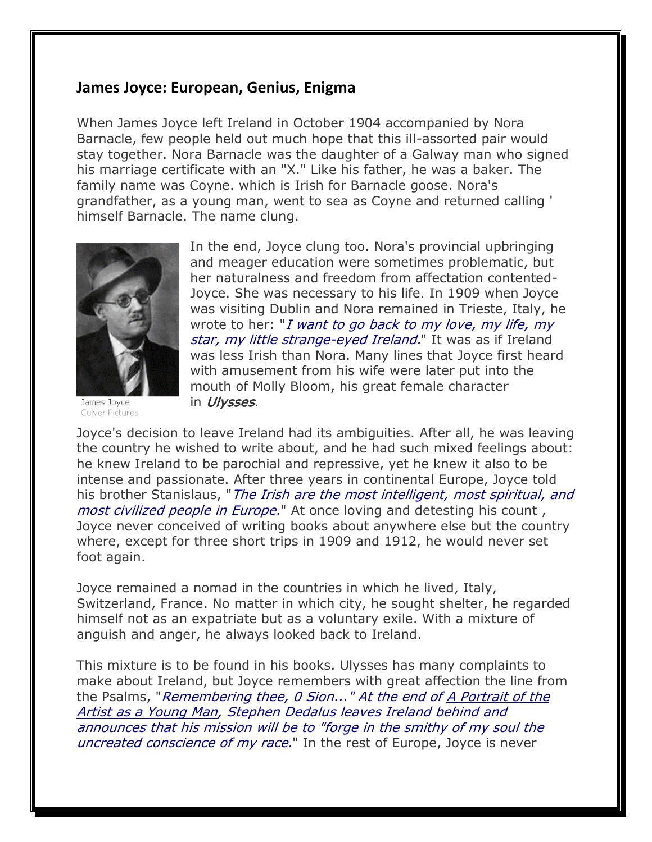## **James Joyce: European, Genius, Enigma**

When James Joyce left Ireland in October 1904 accompanied by Nora Barnacle, few people held out much hope that this ill-assorted pair would stay together. Nora Barnacle was the daughter of a Galway man who signed his marriage certificate with an "X." Like his father, he was a baker. The family name was Coyne. which is Irish for Barnacle goose. Nora's grandfather, as a young man, went to sea as Coyne and returned calling ' himself Barnacle. The name clung.



James Joyce Culver Pictures

In the end, Joyce clung too. Nora's provincial upbringing and meager education were sometimes problematic, but her naturalness and freedom from affectation contented-Joyce. She was necessary to his life. In 1909 when Joyce was visiting Dublin and Nora remained in Trieste, Italy, he wrote to her: "I want to go back to my love, my life, my star, my little strange-eyed Ireland." It was as if Ireland was less Irish than Nora. Many lines that Joyce first heard with amusement from his wife were later put into the mouth of Molly Bloom, his great female character in *Ulysses*.

Joyce's decision to leave Ireland had its ambiguities. After all, he was leaving the country he wished to write about, and he had such mixed feelings about: he knew Ireland to be parochial and repressive, yet he knew it also to be intense and passionate. After three years in continental Europe, Joyce told his brother Stanislaus, "The Irish are the most intelligent, most spiritual, and most civilized people in Europe." At once loving and detesting his count, Joyce never conceived of writing books about anywhere else but the country where, except for three short trips in 1909 and 1912, he would never set foot again.

Joyce remained a nomad in the countries in which he lived, Italy, Switzerland, France. No matter in which city, he sought shelter, he regarded himself not as an expatriate but as a voluntary exile. With a mixture of anguish and anger, he always looked back to Ireland.

This mixture is to be found in his books. Ulysses has many complaints to make about Ireland, but Joyce remembers with great affection the line from the Psalms, "Remembering thee, 0 Sion..." At the end of A Portrait of the Artist as a Young Man, Stephen Dedalus leaves Ireland behind and announces that his mission will be to "forge in the smithy of my soul the uncreated conscience of my race." In the rest of Europe, Joyce is never